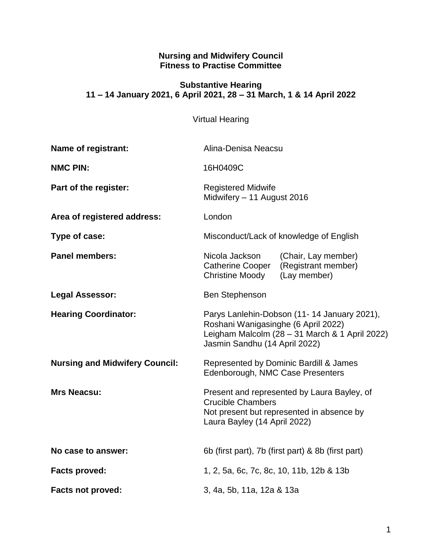#### **Nursing and Midwifery Council Fitness to Practise Committee**

### **Substantive Hearing 11 – 14 January 2021, 6 April 2021, 28 – 31 March, 1 & 14 April 2022**

# Virtual Hearing

| Name of registrant:                   | Alina-Denisa Neacsu                                                                                                                                                   |                                                            |
|---------------------------------------|-----------------------------------------------------------------------------------------------------------------------------------------------------------------------|------------------------------------------------------------|
| <b>NMC PIN:</b>                       | 16H0409C                                                                                                                                                              |                                                            |
| Part of the register:                 | <b>Registered Midwife</b><br>Midwifery - 11 August 2016                                                                                                               |                                                            |
| Area of registered address:           | London                                                                                                                                                                |                                                            |
| Type of case:                         | Misconduct/Lack of knowledge of English                                                                                                                               |                                                            |
| <b>Panel members:</b>                 | Nicola Jackson<br><b>Catherine Cooper</b><br><b>Christine Moody</b>                                                                                                   | (Chair, Lay member)<br>(Registrant member)<br>(Lay member) |
| <b>Legal Assessor:</b>                | <b>Ben Stephenson</b>                                                                                                                                                 |                                                            |
| <b>Hearing Coordinator:</b>           | Parys Lanlehin-Dobson (11-14 January 2021),<br>Roshani Wanigasinghe (6 April 2022)<br>Leigham Malcolm (28 - 31 March & 1 April 2022)<br>Jasmin Sandhu (14 April 2022) |                                                            |
| <b>Nursing and Midwifery Council:</b> | Represented by Dominic Bardill & James<br>Edenborough, NMC Case Presenters                                                                                            |                                                            |
| <b>Mrs Neacsu:</b>                    | Present and represented by Laura Bayley, of<br><b>Crucible Chambers</b><br>Not present but represented in absence by<br>Laura Bayley (14 April 2022)                  |                                                            |
| No case to answer:                    | 6b (first part), 7b (first part) & 8b (first part)                                                                                                                    |                                                            |
| <b>Facts proved:</b>                  | 1, 2, 5a, 6c, 7c, 8c, 10, 11b, 12b & 13b                                                                                                                              |                                                            |
| <b>Facts not proved:</b>              | 3, 4a, 5b, 11a, 12a & 13a                                                                                                                                             |                                                            |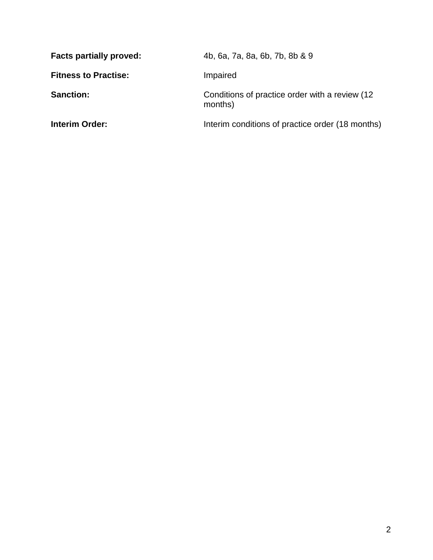| <b>Facts partially proved:</b> | 4b, 6a, 7a, 8a, 6b, 7b, 8b & 9                             |
|--------------------------------|------------------------------------------------------------|
| <b>Fitness to Practise:</b>    | Impaired                                                   |
| <b>Sanction:</b>               | Conditions of practice order with a review (12)<br>months) |
| <b>Interim Order:</b>          | Interim conditions of practice order (18 months)           |
|                                |                                                            |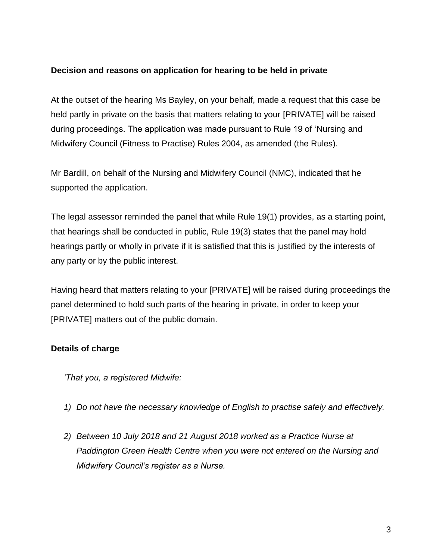### **Decision and reasons on application for hearing to be held in private**

At the outset of the hearing Ms Bayley, on your behalf, made a request that this case be held partly in private on the basis that matters relating to your [PRIVATE] will be raised during proceedings. The application was made pursuant to Rule 19 of 'Nursing and Midwifery Council (Fitness to Practise) Rules 2004, as amended (the Rules).

Mr Bardill, on behalf of the Nursing and Midwifery Council (NMC), indicated that he supported the application.

The legal assessor reminded the panel that while Rule 19(1) provides, as a starting point, that hearings shall be conducted in public, Rule 19(3) states that the panel may hold hearings partly or wholly in private if it is satisfied that this is justified by the interests of any party or by the public interest.

Having heard that matters relating to your [PRIVATE] will be raised during proceedings the panel determined to hold such parts of the hearing in private, in order to keep your [PRIVATE] matters out of the public domain.

### **Details of charge**

*'That you, a registered Midwife:*

- *1) Do not have the necessary knowledge of English to practise safely and effectively.*
- *2) Between 10 July 2018 and 21 August 2018 worked as a Practice Nurse at Paddington Green Health Centre when you were not entered on the Nursing and Midwifery Council's register as a Nurse.*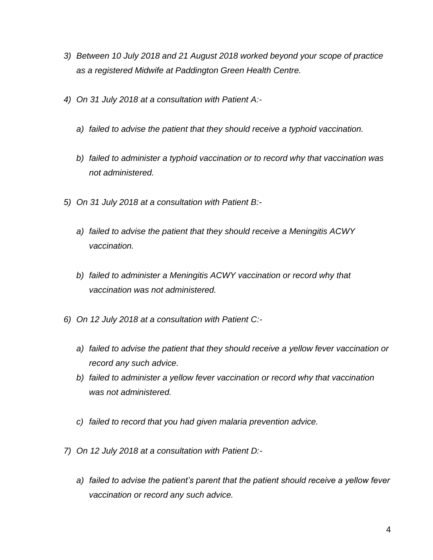- *3) Between 10 July 2018 and 21 August 2018 worked beyond your scope of practice as a registered Midwife at Paddington Green Health Centre.*
- *4) On 31 July 2018 at a consultation with Patient A:*
	- *a) failed to advise the patient that they should receive a typhoid vaccination.*
	- *b) failed to administer a typhoid vaccination or to record why that vaccination was not administered.*
- *5) On 31 July 2018 at a consultation with Patient B:*
	- *a) failed to advise the patient that they should receive a Meningitis ACWY vaccination.*
	- *b) failed to administer a Meningitis ACWY vaccination or record why that vaccination was not administered.*
- *6) On 12 July 2018 at a consultation with Patient C:*
	- *a) failed to advise the patient that they should receive a yellow fever vaccination or record any such advice.*
	- *b) failed to administer a yellow fever vaccination or record why that vaccination was not administered.*
	- *c) failed to record that you had given malaria prevention advice.*
- *7) On 12 July 2018 at a consultation with Patient D:*
	- *a) failed to advise the patient's parent that the patient should receive a yellow fever vaccination or record any such advice.*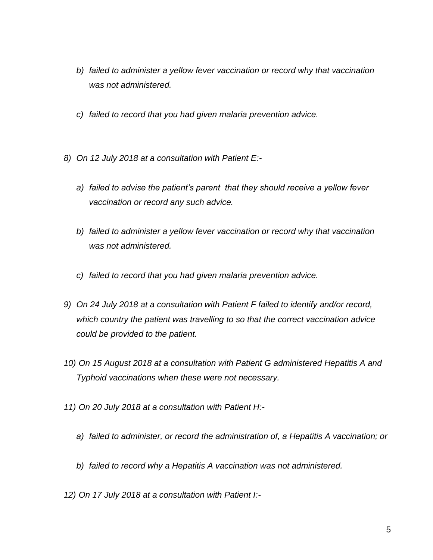- *b) failed to administer a yellow fever vaccination or record why that vaccination was not administered.*
- *c) failed to record that you had given malaria prevention advice.*
- *8) On 12 July 2018 at a consultation with Patient E:*
	- *a) failed to advise the patient's parent that they should receive a yellow fever vaccination or record any such advice.*
	- *b) failed to administer a yellow fever vaccination or record why that vaccination was not administered.*
	- *c) failed to record that you had given malaria prevention advice.*
- *9) On 24 July 2018 at a consultation with Patient F failed to identify and/or record, which country the patient was travelling to so that the correct vaccination advice could be provided to the patient.*
- *10) On 15 August 2018 at a consultation with Patient G administered Hepatitis A and Typhoid vaccinations when these were not necessary.*
- *11) On 20 July 2018 at a consultation with Patient H:*
	- *a) failed to administer, or record the administration of, a Hepatitis A vaccination; or*
	- *b) failed to record why a Hepatitis A vaccination was not administered.*
- *12) On 17 July 2018 at a consultation with Patient I:-*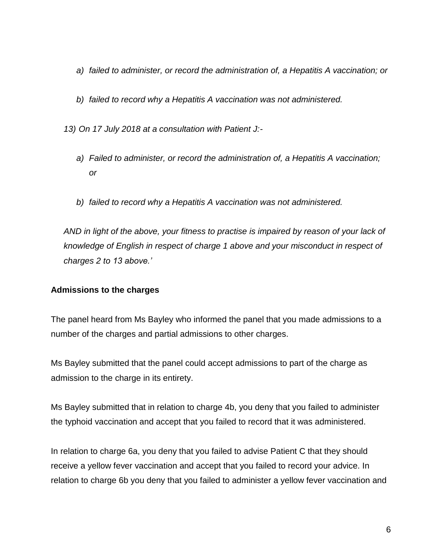- *a) failed to administer, or record the administration of, a Hepatitis A vaccination; or*
- *b) failed to record why a Hepatitis A vaccination was not administered.*

*13) On 17 July 2018 at a consultation with Patient J:-*

- *a) Failed to administer, or record the administration of, a Hepatitis A vaccination; or*
- *b) failed to record why a Hepatitis A vaccination was not administered.*

AND in light of the above, your fitness to practise is impaired by reason of your lack of *knowledge of English in respect of charge 1 above and your misconduct in respect of charges 2 to 13 above.'*

#### **Admissions to the charges**

The panel heard from Ms Bayley who informed the panel that you made admissions to a number of the charges and partial admissions to other charges.

Ms Bayley submitted that the panel could accept admissions to part of the charge as admission to the charge in its entirety.

Ms Bayley submitted that in relation to charge 4b, you deny that you failed to administer the typhoid vaccination and accept that you failed to record that it was administered.

In relation to charge 6a, you deny that you failed to advise Patient C that they should receive a yellow fever vaccination and accept that you failed to record your advice. In relation to charge 6b you deny that you failed to administer a yellow fever vaccination and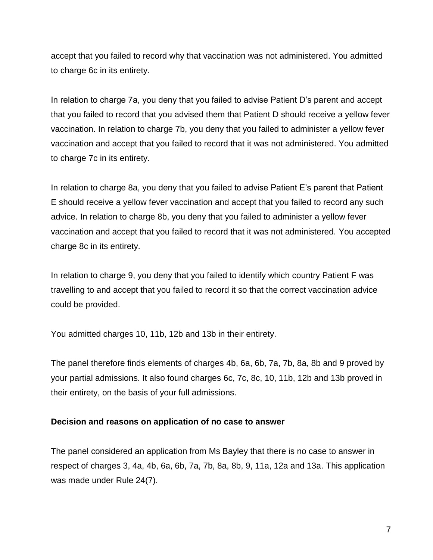accept that you failed to record why that vaccination was not administered. You admitted to charge 6c in its entirety.

In relation to charge 7a, you deny that you failed to advise Patient D's parent and accept that you failed to record that you advised them that Patient D should receive a yellow fever vaccination. In relation to charge 7b, you deny that you failed to administer a yellow fever vaccination and accept that you failed to record that it was not administered. You admitted to charge 7c in its entirety.

In relation to charge 8a, you deny that you failed to advise Patient E's parent that Patient E should receive a yellow fever vaccination and accept that you failed to record any such advice. In relation to charge 8b, you deny that you failed to administer a yellow fever vaccination and accept that you failed to record that it was not administered. You accepted charge 8c in its entirety.

In relation to charge 9, you deny that you failed to identify which country Patient F was travelling to and accept that you failed to record it so that the correct vaccination advice could be provided.

You admitted charges 10, 11b, 12b and 13b in their entirety.

The panel therefore finds elements of charges 4b, 6a, 6b, 7a, 7b, 8a, 8b and 9 proved by your partial admissions. It also found charges 6c, 7c, 8c, 10, 11b, 12b and 13b proved in their entirety, on the basis of your full admissions.

#### **Decision and reasons on application of no case to answer**

The panel considered an application from Ms Bayley that there is no case to answer in respect of charges 3, 4a, 4b, 6a, 6b, 7a, 7b, 8a, 8b, 9, 11a, 12a and 13a. This application was made under Rule 24(7).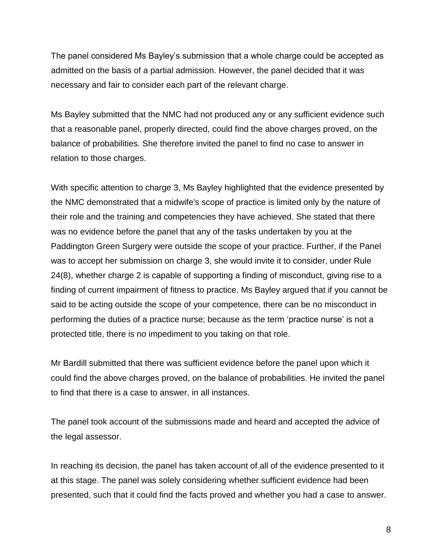The panel considered Ms Bayley's submission that a whole charge could be accepted as admitted on the basis of a partial admission. However, the panel decided that it was necessary and fair to consider each part of the relevant charge.

Ms Bayley submitted that the NMC had not produced any or any sufficient evidence such that a reasonable panel, properly directed, could find the above charges proved, on the balance of probabilities. She therefore invited the panel to find no case to answer in relation to those charges.

With specific attention to charge 3, Ms Bayley highlighted that the evidence presented by the NMC demonstrated that a midwife's scope of practice is limited only by the nature of their role and the training and competencies they have achieved. She stated that there was no evidence before the panel that any of the tasks undertaken by you at the Paddington Green Surgery were outside the scope of your practice. Further, if the Panel was to accept her submission on charge 3, she would invite it to consider, under Rule 24(8), whether charge 2 is capable of supporting a finding of misconduct, giving rise to a finding of current impairment of fitness to practice. Ms Bayley argued that if you cannot be said to be acting outside the scope of your competence, there can be no misconduct in performing the duties of a practice nurse; because as the term 'practice nurse' is not a protected title, there is no impediment to you taking on that role.

Mr Bardill submitted that there was sufficient evidence before the panel upon which it could find the above charges proved, on the balance of probabilities. He invited the panel to find that there is a case to answer, in all instances.

The panel took account of the submissions made and heard and accepted the advice of the legal assessor.

In reaching its decision, the panel has taken account of all of the evidence presented to it at this stage. The panel was solely considering whether sufficient evidence had been presented, such that it could find the facts proved and whether you had a case to answer.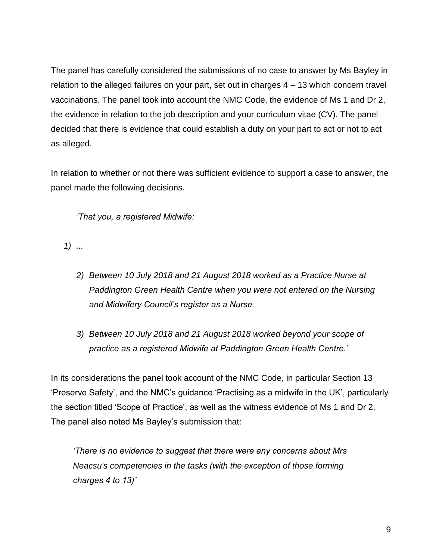The panel has carefully considered the submissions of no case to answer by Ms Bayley in relation to the alleged failures on your part, set out in charges 4 – 13 which concern travel vaccinations. The panel took into account the NMC Code, the evidence of Ms 1 and Dr 2, the evidence in relation to the job description and your curriculum vitae (CV). The panel decided that there is evidence that could establish a duty on your part to act or not to act as alleged.

In relation to whether or not there was sufficient evidence to support a case to answer, the panel made the following decisions.

*'That you, a registered Midwife:*

*1) ...*

- *2) Between 10 July 2018 and 21 August 2018 worked as a Practice Nurse at Paddington Green Health Centre when you were not entered on the Nursing and Midwifery Council's register as a Nurse.*
- *3) Between 10 July 2018 and 21 August 2018 worked beyond your scope of practice as a registered Midwife at Paddington Green Health Centre.'*

In its considerations the panel took account of the NMC Code, in particular Section 13 'Preserve Safety', and the NMC's guidance 'Practising as a midwife in the UK', particularly the section titled 'Scope of Practice', as well as the witness evidence of Ms 1 and Dr 2. The panel also noted Ms Bayley's submission that:

*'There is no evidence to suggest that there were any concerns about Mrs Neacsu's competencies in the tasks (with the exception of those forming charges 4 to 13)'*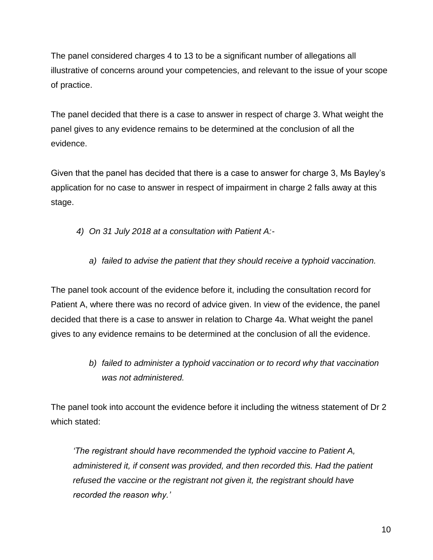The panel considered charges 4 to 13 to be a significant number of allegations all illustrative of concerns around your competencies, and relevant to the issue of your scope of practice.

The panel decided that there is a case to answer in respect of charge 3. What weight the panel gives to any evidence remains to be determined at the conclusion of all the evidence.

Given that the panel has decided that there is a case to answer for charge 3, Ms Bayley's application for no case to answer in respect of impairment in charge 2 falls away at this stage.

*4) On 31 July 2018 at a consultation with Patient A:-*

*a) failed to advise the patient that they should receive a typhoid vaccination.*

The panel took account of the evidence before it, including the consultation record for Patient A, where there was no record of advice given. In view of the evidence, the panel decided that there is a case to answer in relation to Charge 4a. What weight the panel gives to any evidence remains to be determined at the conclusion of all the evidence.

> *b) failed to administer a typhoid vaccination or to record why that vaccination was not administered.*

The panel took into account the evidence before it including the witness statement of Dr 2 which stated:

*'The registrant should have recommended the typhoid vaccine to Patient A, administered it, if consent was provided, and then recorded this. Had the patient refused the vaccine or the registrant not given it, the registrant should have recorded the reason why.'*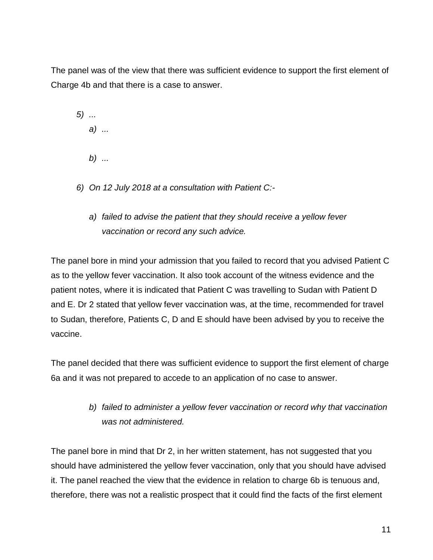The panel was of the view that there was sufficient evidence to support the first element of Charge 4b and that there is a case to answer.

- *5) ... a) ... b) ...*
- *6) On 12 July 2018 at a consultation with Patient C:*
	- *a) failed to advise the patient that they should receive a yellow fever vaccination or record any such advice.*

The panel bore in mind your admission that you failed to record that you advised Patient C as to the yellow fever vaccination. It also took account of the witness evidence and the patient notes, where it is indicated that Patient C was travelling to Sudan with Patient D and E. Dr 2 stated that yellow fever vaccination was, at the time, recommended for travel to Sudan, therefore, Patients C, D and E should have been advised by you to receive the vaccine.

The panel decided that there was sufficient evidence to support the first element of charge 6a and it was not prepared to accede to an application of no case to answer.

> *b) failed to administer a yellow fever vaccination or record why that vaccination was not administered.*

The panel bore in mind that Dr 2, in her written statement, has not suggested that you should have administered the yellow fever vaccination, only that you should have advised it. The panel reached the view that the evidence in relation to charge 6b is tenuous and, therefore, there was not a realistic prospect that it could find the facts of the first element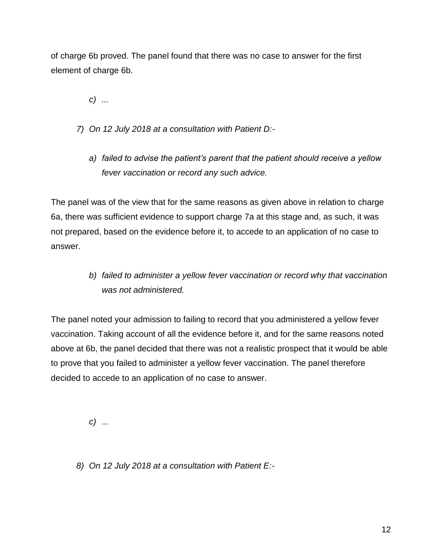of charge 6b proved. The panel found that there was no case to answer for the first element of charge 6b.

*c) ...*

- *7) On 12 July 2018 at a consultation with Patient D:*
	- *a) failed to advise the patient's parent that the patient should receive a yellow fever vaccination or record any such advice.*

The panel was of the view that for the same reasons as given above in relation to charge 6a, there was sufficient evidence to support charge 7a at this stage and, as such, it was not prepared, based on the evidence before it, to accede to an application of no case to answer.

> *b) failed to administer a yellow fever vaccination or record why that vaccination was not administered.*

The panel noted your admission to failing to record that you administered a yellow fever vaccination. Taking account of all the evidence before it, and for the same reasons noted above at 6b, the panel decided that there was not a realistic prospect that it would be able to prove that you failed to administer a yellow fever vaccination. The panel therefore decided to accede to an application of no case to answer.

*c) ...*

*8) On 12 July 2018 at a consultation with Patient E:-*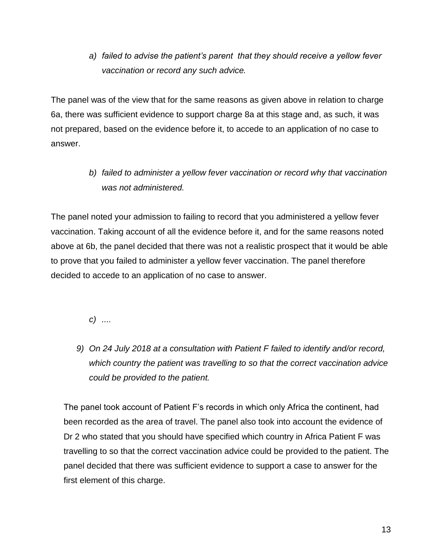*a) failed to advise the patient's parent that they should receive a yellow fever vaccination or record any such advice.*

The panel was of the view that for the same reasons as given above in relation to charge 6a, there was sufficient evidence to support charge 8a at this stage and, as such, it was not prepared, based on the evidence before it, to accede to an application of no case to answer.

> *b) failed to administer a yellow fever vaccination or record why that vaccination was not administered.*

The panel noted your admission to failing to record that you administered a yellow fever vaccination. Taking account of all the evidence before it, and for the same reasons noted above at 6b, the panel decided that there was not a realistic prospect that it would be able to prove that you failed to administer a yellow fever vaccination. The panel therefore decided to accede to an application of no case to answer.

*c) ....*

*9) On 24 July 2018 at a consultation with Patient F failed to identify and/or record, which country the patient was travelling to so that the correct vaccination advice could be provided to the patient.*

The panel took account of Patient F's records in which only Africa the continent, had been recorded as the area of travel. The panel also took into account the evidence of Dr 2 who stated that you should have specified which country in Africa Patient F was travelling to so that the correct vaccination advice could be provided to the patient. The panel decided that there was sufficient evidence to support a case to answer for the first element of this charge.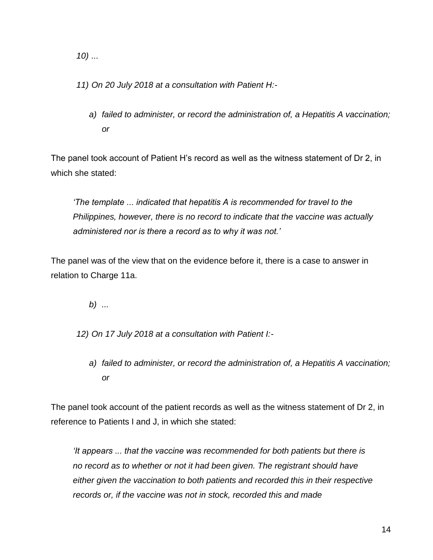*10) ...*

*11) On 20 July 2018 at a consultation with Patient H:-*

*a) failed to administer, or record the administration of, a Hepatitis A vaccination; or*

The panel took account of Patient H's record as well as the witness statement of Dr 2, in which she stated:

*'The template ... indicated that hepatitis A is recommended for travel to the Philippines, however, there is no record to indicate that the vaccine was actually administered nor is there a record as to why it was not.'*

The panel was of the view that on the evidence before it, there is a case to answer in relation to Charge 11a.

*b) ...*

*12) On 17 July 2018 at a consultation with Patient I:-*

*a) failed to administer, or record the administration of, a Hepatitis A vaccination; or*

The panel took account of the patient records as well as the witness statement of Dr 2, in reference to Patients I and J, in which she stated:

*'It appears ... that the vaccine was recommended for both patients but there is no record as to whether or not it had been given. The registrant should have either given the vaccination to both patients and recorded this in their respective records or, if the vaccine was not in stock, recorded this and made*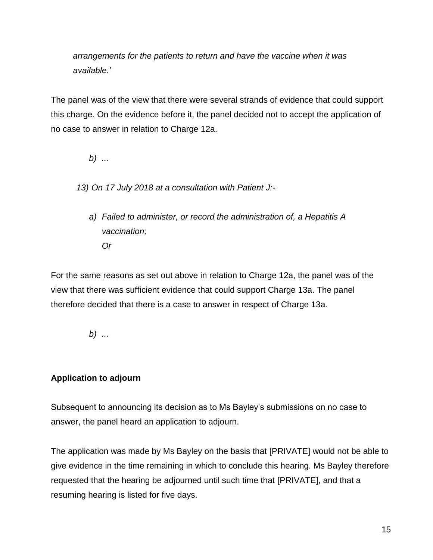*arrangements for the patients to return and have the vaccine when it was available.'*

The panel was of the view that there were several strands of evidence that could support this charge. On the evidence before it, the panel decided not to accept the application of no case to answer in relation to Charge 12a.

*b) ...*

*13) On 17 July 2018 at a consultation with Patient J:-*

*a) Failed to administer, or record the administration of, a Hepatitis A vaccination; Or*

For the same reasons as set out above in relation to Charge 12a, the panel was of the view that there was sufficient evidence that could support Charge 13a. The panel therefore decided that there is a case to answer in respect of Charge 13a.

*b) ...*

# **Application to adjourn**

Subsequent to announcing its decision as to Ms Bayley's submissions on no case to answer, the panel heard an application to adjourn.

The application was made by Ms Bayley on the basis that [PRIVATE] would not be able to give evidence in the time remaining in which to conclude this hearing. Ms Bayley therefore requested that the hearing be adjourned until such time that [PRIVATE], and that a resuming hearing is listed for five days.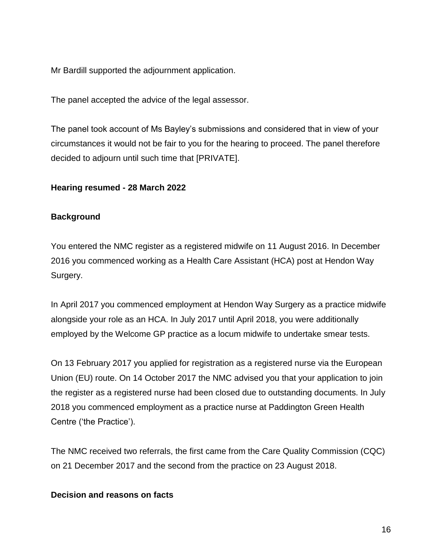Mr Bardill supported the adjournment application.

The panel accepted the advice of the legal assessor.

The panel took account of Ms Bayley's submissions and considered that in view of your circumstances it would not be fair to you for the hearing to proceed. The panel therefore decided to adjourn until such time that [PRIVATE].

#### **Hearing resumed - 28 March 2022**

#### **Background**

You entered the NMC register as a registered midwife on 11 August 2016. In December 2016 you commenced working as a Health Care Assistant (HCA) post at Hendon Way Surgery.

In April 2017 you commenced employment at Hendon Way Surgery as a practice midwife alongside your role as an HCA. In July 2017 until April 2018, you were additionally employed by the Welcome GP practice as a locum midwife to undertake smear tests.

On 13 February 2017 you applied for registration as a registered nurse via the European Union (EU) route. On 14 October 2017 the NMC advised you that your application to join the register as a registered nurse had been closed due to outstanding documents. In July 2018 you commenced employment as a practice nurse at Paddington Green Health Centre ('the Practice').

The NMC received two referrals, the first came from the Care Quality Commission (CQC) on 21 December 2017 and the second from the practice on 23 August 2018.

#### **Decision and reasons on facts**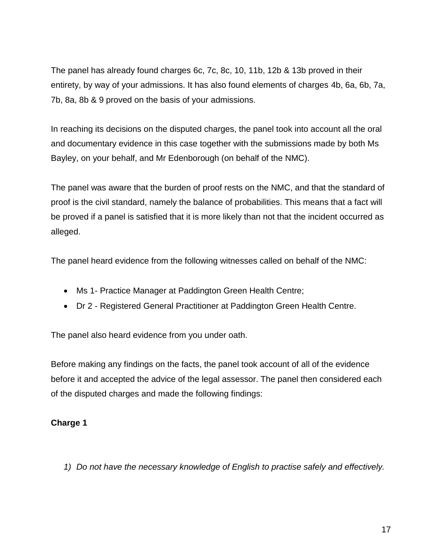The panel has already found charges 6c, 7c, 8c, 10, 11b, 12b & 13b proved in their entirety, by way of your admissions. It has also found elements of charges 4b, 6a, 6b, 7a, 7b, 8a, 8b & 9 proved on the basis of your admissions.

In reaching its decisions on the disputed charges, the panel took into account all the oral and documentary evidence in this case together with the submissions made by both Ms Bayley, on your behalf, and Mr Edenborough (on behalf of the NMC).

The panel was aware that the burden of proof rests on the NMC, and that the standard of proof is the civil standard, namely the balance of probabilities. This means that a fact will be proved if a panel is satisfied that it is more likely than not that the incident occurred as alleged.

The panel heard evidence from the following witnesses called on behalf of the NMC:

- Ms 1- Practice Manager at Paddington Green Health Centre;
- Dr 2 Registered General Practitioner at Paddington Green Health Centre.

The panel also heard evidence from you under oath.

Before making any findings on the facts, the panel took account of all of the evidence before it and accepted the advice of the legal assessor. The panel then considered each of the disputed charges and made the following findings:

# **Charge 1**

*1) Do not have the necessary knowledge of English to practise safely and effectively.*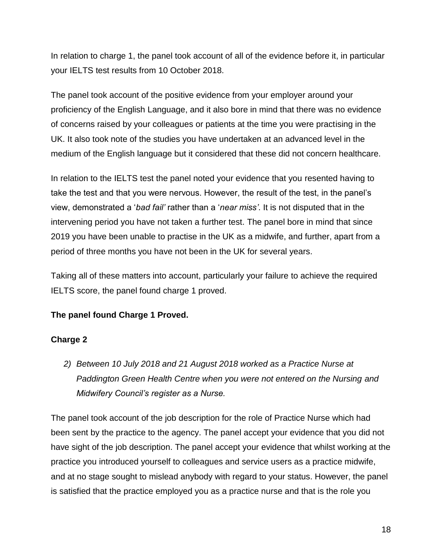In relation to charge 1, the panel took account of all of the evidence before it, in particular your IELTS test results from 10 October 2018.

The panel took account of the positive evidence from your employer around your proficiency of the English Language, and it also bore in mind that there was no evidence of concerns raised by your colleagues or patients at the time you were practising in the UK. It also took note of the studies you have undertaken at an advanced level in the medium of the English language but it considered that these did not concern healthcare.

In relation to the IELTS test the panel noted your evidence that you resented having to take the test and that you were nervous. However, the result of the test, in the panel's view, demonstrated a '*bad fail'* rather than a '*near miss'*. It is not disputed that in the intervening period you have not taken a further test. The panel bore in mind that since 2019 you have been unable to practise in the UK as a midwife, and further, apart from a period of three months you have not been in the UK for several years.

Taking all of these matters into account, particularly your failure to achieve the required IELTS score, the panel found charge 1 proved.

# **The panel found Charge 1 Proved.**

# **Charge 2**

*2) Between 10 July 2018 and 21 August 2018 worked as a Practice Nurse at Paddington Green Health Centre when you were not entered on the Nursing and Midwifery Council's register as a Nurse.*

The panel took account of the job description for the role of Practice Nurse which had been sent by the practice to the agency. The panel accept your evidence that you did not have sight of the job description. The panel accept your evidence that whilst working at the practice you introduced yourself to colleagues and service users as a practice midwife, and at no stage sought to mislead anybody with regard to your status. However, the panel is satisfied that the practice employed you as a practice nurse and that is the role you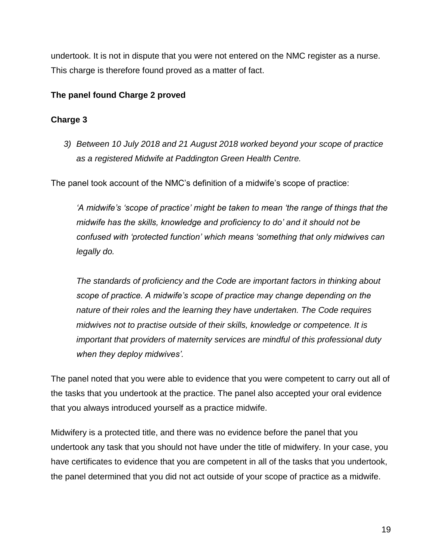undertook. It is not in dispute that you were not entered on the NMC register as a nurse. This charge is therefore found proved as a matter of fact.

### **The panel found Charge 2 proved**

## **Charge 3**

*3) Between 10 July 2018 and 21 August 2018 worked beyond your scope of practice as a registered Midwife at Paddington Green Health Centre.*

The panel took account of the NMC's definition of a midwife's scope of practice:

*'A midwife's 'scope of practice' might be taken to mean 'the range of things that the midwife has the skills, knowledge and proficiency to do' and it should not be confused with 'protected function' which means 'something that only midwives can legally do.* 

*The standards of proficiency and the Code are important factors in thinking about scope of practice. A midwife's scope of practice may change depending on the nature of their roles and the learning they have undertaken. The Code requires midwives not to practise outside of their skills, knowledge or competence. It is important that providers of maternity services are mindful of this professional duty when they deploy midwives'.*

The panel noted that you were able to evidence that you were competent to carry out all of the tasks that you undertook at the practice. The panel also accepted your oral evidence that you always introduced yourself as a practice midwife.

Midwifery is a protected title, and there was no evidence before the panel that you undertook any task that you should not have under the title of midwifery. In your case, you have certificates to evidence that you are competent in all of the tasks that you undertook, the panel determined that you did not act outside of your scope of practice as a midwife.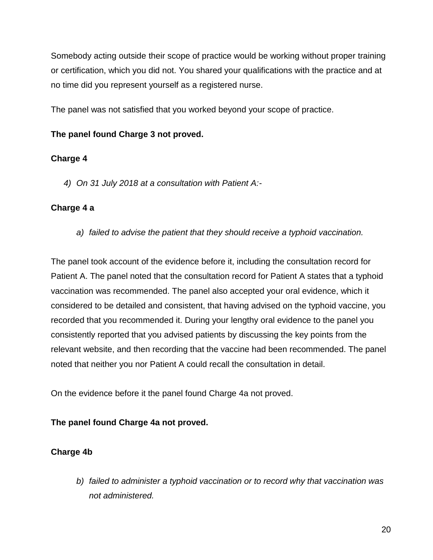Somebody acting outside their scope of practice would be working without proper training or certification, which you did not. You shared your qualifications with the practice and at no time did you represent yourself as a registered nurse.

The panel was not satisfied that you worked beyond your scope of practice.

# **The panel found Charge 3 not proved.**

### **Charge 4**

*4) On 31 July 2018 at a consultation with Patient A:-*

### **Charge 4 a**

*a) failed to advise the patient that they should receive a typhoid vaccination.*

The panel took account of the evidence before it, including the consultation record for Patient A. The panel noted that the consultation record for Patient A states that a typhoid vaccination was recommended. The panel also accepted your oral evidence, which it considered to be detailed and consistent, that having advised on the typhoid vaccine, you recorded that you recommended it. During your lengthy oral evidence to the panel you consistently reported that you advised patients by discussing the key points from the relevant website, and then recording that the vaccine had been recommended. The panel noted that neither you nor Patient A could recall the consultation in detail.

On the evidence before it the panel found Charge 4a not proved.

**The panel found Charge 4a not proved.** 

# **Charge 4b**

*b) failed to administer a typhoid vaccination or to record why that vaccination was not administered.*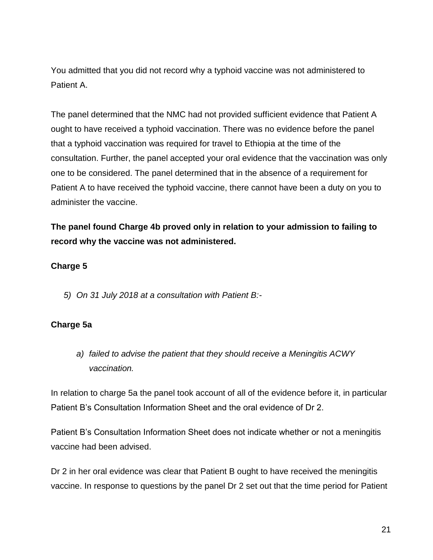You admitted that you did not record why a typhoid vaccine was not administered to Patient A.

The panel determined that the NMC had not provided sufficient evidence that Patient A ought to have received a typhoid vaccination. There was no evidence before the panel that a typhoid vaccination was required for travel to Ethiopia at the time of the consultation. Further, the panel accepted your oral evidence that the vaccination was only one to be considered. The panel determined that in the absence of a requirement for Patient A to have received the typhoid vaccine, there cannot have been a duty on you to administer the vaccine.

**The panel found Charge 4b proved only in relation to your admission to failing to record why the vaccine was not administered.** 

#### **Charge 5**

*5) On 31 July 2018 at a consultation with Patient B:-*

### **Charge 5a**

*a) failed to advise the patient that they should receive a Meningitis ACWY vaccination.*

In relation to charge 5a the panel took account of all of the evidence before it, in particular Patient B's Consultation Information Sheet and the oral evidence of Dr 2.

Patient B's Consultation Information Sheet does not indicate whether or not a meningitis vaccine had been advised.

Dr 2 in her oral evidence was clear that Patient B ought to have received the meningitis vaccine. In response to questions by the panel Dr 2 set out that the time period for Patient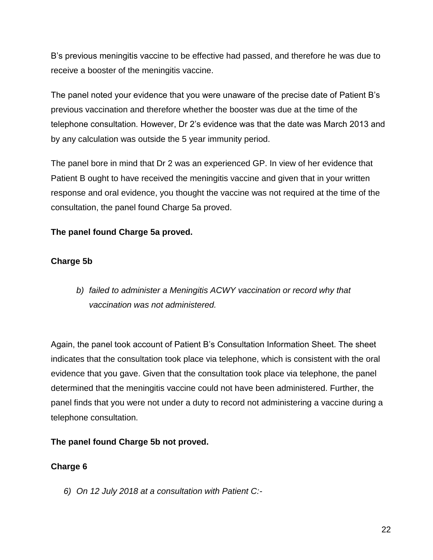B's previous meningitis vaccine to be effective had passed, and therefore he was due to receive a booster of the meningitis vaccine.

The panel noted your evidence that you were unaware of the precise date of Patient B's previous vaccination and therefore whether the booster was due at the time of the telephone consultation. However, Dr 2's evidence was that the date was March 2013 and by any calculation was outside the 5 year immunity period.

The panel bore in mind that Dr 2 was an experienced GP. In view of her evidence that Patient B ought to have received the meningitis vaccine and given that in your written response and oral evidence, you thought the vaccine was not required at the time of the consultation, the panel found Charge 5a proved.

# **The panel found Charge 5a proved.**

# **Charge 5b**

*b) failed to administer a Meningitis ACWY vaccination or record why that vaccination was not administered.*

Again, the panel took account of Patient B's Consultation Information Sheet. The sheet indicates that the consultation took place via telephone, which is consistent with the oral evidence that you gave. Given that the consultation took place via telephone, the panel determined that the meningitis vaccine could not have been administered. Further, the panel finds that you were not under a duty to record not administering a vaccine during a telephone consultation.

# **The panel found Charge 5b not proved.**

# **Charge 6**

*6) On 12 July 2018 at a consultation with Patient C:-*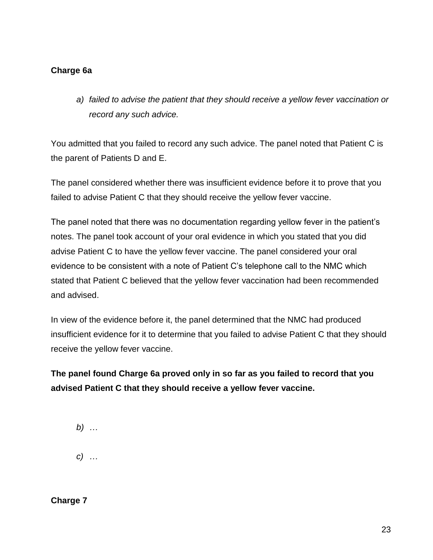# **Charge 6a**

*a) failed to advise the patient that they should receive a yellow fever vaccination or record any such advice.*

You admitted that you failed to record any such advice. The panel noted that Patient C is the parent of Patients D and E.

The panel considered whether there was insufficient evidence before it to prove that you failed to advise Patient C that they should receive the yellow fever vaccine.

The panel noted that there was no documentation regarding yellow fever in the patient's notes. The panel took account of your oral evidence in which you stated that you did advise Patient C to have the yellow fever vaccine. The panel considered your oral evidence to be consistent with a note of Patient C's telephone call to the NMC which stated that Patient C believed that the yellow fever vaccination had been recommended and advised.

In view of the evidence before it, the panel determined that the NMC had produced insufficient evidence for it to determine that you failed to advise Patient C that they should receive the yellow fever vaccine.

**The panel found Charge 6a proved only in so far as you failed to record that you advised Patient C that they should receive a yellow fever vaccine.** 

*b) … c) …*

**Charge 7**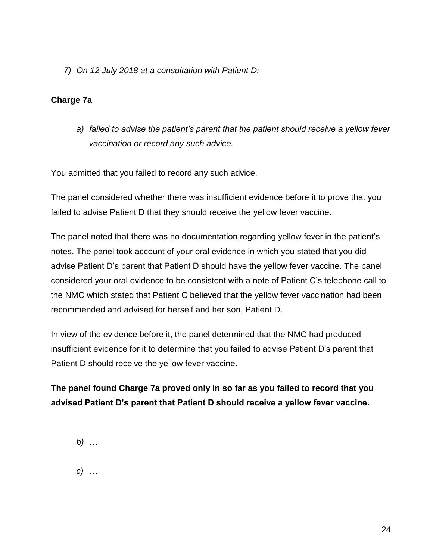*7) On 12 July 2018 at a consultation with Patient D:-*

### **Charge 7a**

*a) failed to advise the patient's parent that the patient should receive a yellow fever vaccination or record any such advice.*

You admitted that you failed to record any such advice.

The panel considered whether there was insufficient evidence before it to prove that you failed to advise Patient D that they should receive the yellow fever vaccine.

The panel noted that there was no documentation regarding yellow fever in the patient's notes. The panel took account of your oral evidence in which you stated that you did advise Patient D's parent that Patient D should have the yellow fever vaccine. The panel considered your oral evidence to be consistent with a note of Patient C's telephone call to the NMC which stated that Patient C believed that the yellow fever vaccination had been recommended and advised for herself and her son, Patient D.

In view of the evidence before it, the panel determined that the NMC had produced insufficient evidence for it to determine that you failed to advise Patient D's parent that Patient D should receive the yellow fever vaccine.

# **The panel found Charge 7a proved only in so far as you failed to record that you advised Patient D's parent that Patient D should receive a yellow fever vaccine.**

*b) …*

*c) …*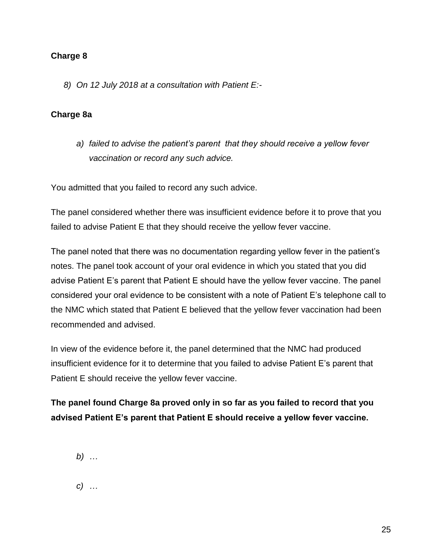### **Charge 8**

*8) On 12 July 2018 at a consultation with Patient E:-*

### **Charge 8a**

*a) failed to advise the patient's parent that they should receive a yellow fever vaccination or record any such advice.*

You admitted that you failed to record any such advice.

The panel considered whether there was insufficient evidence before it to prove that you failed to advise Patient E that they should receive the yellow fever vaccine.

The panel noted that there was no documentation regarding yellow fever in the patient's notes. The panel took account of your oral evidence in which you stated that you did advise Patient E's parent that Patient E should have the yellow fever vaccine. The panel considered your oral evidence to be consistent with a note of Patient E's telephone call to the NMC which stated that Patient E believed that the yellow fever vaccination had been recommended and advised.

In view of the evidence before it, the panel determined that the NMC had produced insufficient evidence for it to determine that you failed to advise Patient E's parent that Patient E should receive the yellow fever vaccine.

# **The panel found Charge 8a proved only in so far as you failed to record that you advised Patient E's parent that Patient E should receive a yellow fever vaccine.**

- *b) …*
- *c) …*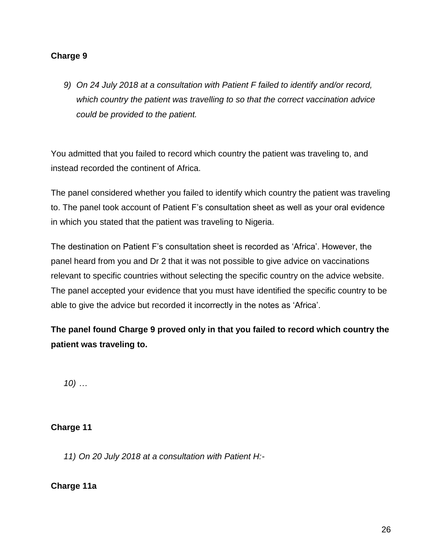### **Charge 9**

*9) On 24 July 2018 at a consultation with Patient F failed to identify and/or record, which country the patient was travelling to so that the correct vaccination advice could be provided to the patient.*

You admitted that you failed to record which country the patient was traveling to, and instead recorded the continent of Africa.

The panel considered whether you failed to identify which country the patient was traveling to. The panel took account of Patient F's consultation sheet as well as your oral evidence in which you stated that the patient was traveling to Nigeria.

The destination on Patient F's consultation sheet is recorded as 'Africa'. However, the panel heard from you and Dr 2 that it was not possible to give advice on vaccinations relevant to specific countries without selecting the specific country on the advice website. The panel accepted your evidence that you must have identified the specific country to be able to give the advice but recorded it incorrectly in the notes as 'Africa'.

**The panel found Charge 9 proved only in that you failed to record which country the patient was traveling to.**

*10) …*

### **Charge 11**

*11) On 20 July 2018 at a consultation with Patient H:-*

**Charge 11a**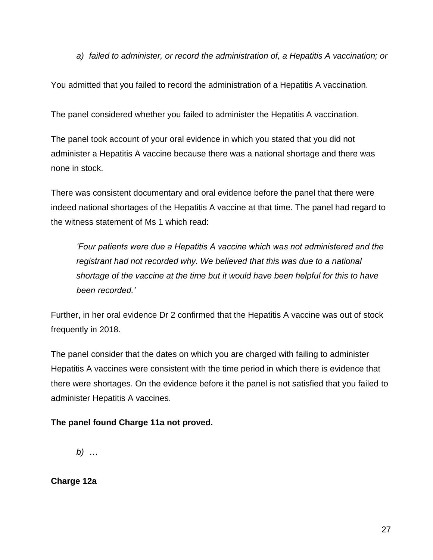*a) failed to administer, or record the administration of, a Hepatitis A vaccination; or*

You admitted that you failed to record the administration of a Hepatitis A vaccination.

The panel considered whether you failed to administer the Hepatitis A vaccination.

The panel took account of your oral evidence in which you stated that you did not administer a Hepatitis A vaccine because there was a national shortage and there was none in stock.

There was consistent documentary and oral evidence before the panel that there were indeed national shortages of the Hepatitis A vaccine at that time. The panel had regard to the witness statement of Ms 1 which read:

*'Four patients were due a Hepatitis A vaccine which was not administered and the registrant had not recorded why. We believed that this was due to a national shortage of the vaccine at the time but it would have been helpful for this to have been recorded.'*

Further, in her oral evidence Dr 2 confirmed that the Hepatitis A vaccine was out of stock frequently in 2018.

The panel consider that the dates on which you are charged with failing to administer Hepatitis A vaccines were consistent with the time period in which there is evidence that there were shortages. On the evidence before it the panel is not satisfied that you failed to administer Hepatitis A vaccines.

### **The panel found Charge 11a not proved.**

*b) …*

**Charge 12a**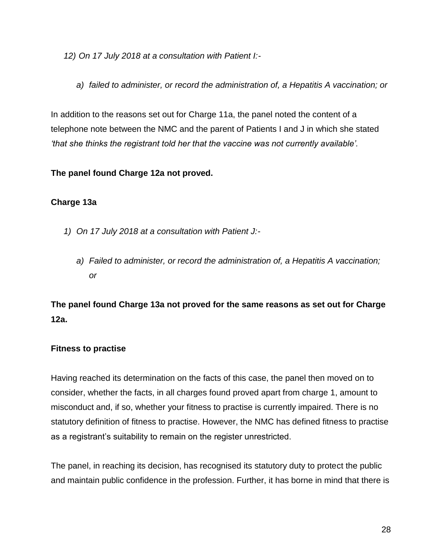*12) On 17 July 2018 at a consultation with Patient I:-*

*a) failed to administer, or record the administration of, a Hepatitis A vaccination; or*

In addition to the reasons set out for Charge 11a, the panel noted the content of a telephone note between the NMC and the parent of Patients I and J in which she stated *'that she thinks the registrant told her that the vaccine was not currently available'.*

### **The panel found Charge 12a not proved.**

### **Charge 13a**

- *1) On 17 July 2018 at a consultation with Patient J:*
	- *a) Failed to administer, or record the administration of, a Hepatitis A vaccination; or*

**The panel found Charge 13a not proved for the same reasons as set out for Charge 12a.** 

# **Fitness to practise**

Having reached its determination on the facts of this case, the panel then moved on to consider, whether the facts, in all charges found proved apart from charge 1, amount to misconduct and, if so, whether your fitness to practise is currently impaired. There is no statutory definition of fitness to practise. However, the NMC has defined fitness to practise as a registrant's suitability to remain on the register unrestricted.

The panel, in reaching its decision, has recognised its statutory duty to protect the public and maintain public confidence in the profession. Further, it has borne in mind that there is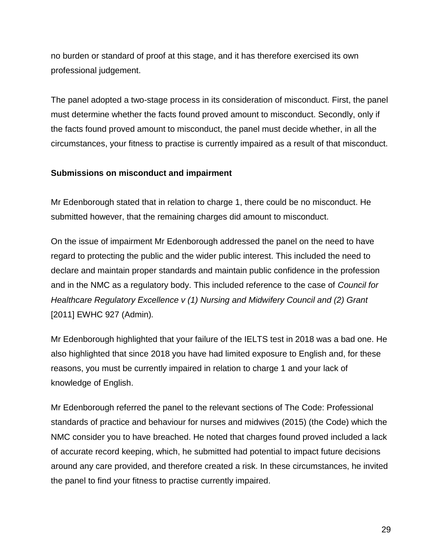no burden or standard of proof at this stage, and it has therefore exercised its own professional judgement.

The panel adopted a two-stage process in its consideration of misconduct. First, the panel must determine whether the facts found proved amount to misconduct. Secondly, only if the facts found proved amount to misconduct, the panel must decide whether, in all the circumstances, your fitness to practise is currently impaired as a result of that misconduct.

#### **Submissions on misconduct and impairment**

Mr Edenborough stated that in relation to charge 1, there could be no misconduct. He submitted however, that the remaining charges did amount to misconduct.

On the issue of impairment Mr Edenborough addressed the panel on the need to have regard to protecting the public and the wider public interest. This included the need to declare and maintain proper standards and maintain public confidence in the profession and in the NMC as a regulatory body. This included reference to the case of *Council for Healthcare Regulatory Excellence v (1) Nursing and Midwifery Council and (2) Grant*  [2011] EWHC 927 (Admin)*.* 

Mr Edenborough highlighted that your failure of the IELTS test in 2018 was a bad one. He also highlighted that since 2018 you have had limited exposure to English and, for these reasons, you must be currently impaired in relation to charge 1 and your lack of knowledge of English.

Mr Edenborough referred the panel to the relevant sections of The Code: Professional standards of practice and behaviour for nurses and midwives (2015) (the Code) which the NMC consider you to have breached. He noted that charges found proved included a lack of accurate record keeping, which, he submitted had potential to impact future decisions around any care provided, and therefore created a risk. In these circumstances, he invited the panel to find your fitness to practise currently impaired.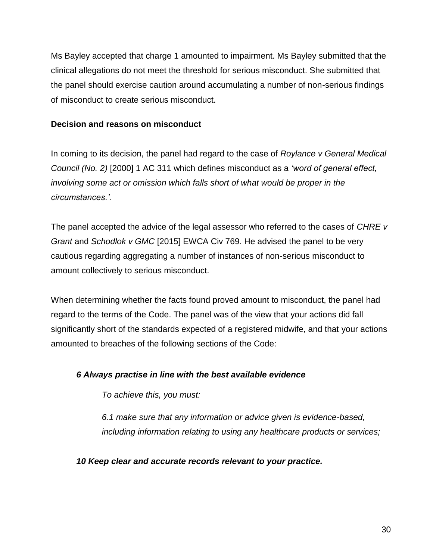Ms Bayley accepted that charge 1 amounted to impairment. Ms Bayley submitted that the clinical allegations do not meet the threshold for serious misconduct. She submitted that the panel should exercise caution around accumulating a number of non-serious findings of misconduct to create serious misconduct.

#### **Decision and reasons on misconduct**

In coming to its decision, the panel had regard to the case of *Roylance v General Medical Council (No. 2)* [2000] 1 AC 311 which defines misconduct as a *'word of general effect, involving some act or omission which falls short of what would be proper in the circumstances.'.*

The panel accepted the advice of the legal assessor who referred to the cases of *CHRE v Grant* and *Schodlok v GMC* [2015] EWCA Civ 769. He advised the panel to be very cautious regarding aggregating a number of instances of non-serious misconduct to amount collectively to serious misconduct.

When determining whether the facts found proved amount to misconduct, the panel had regard to the terms of the Code. The panel was of the view that your actions did fall significantly short of the standards expected of a registered midwife, and that your actions amounted to breaches of the following sections of the Code:

### *6 Always practise in line with the best available evidence*

*To achieve this, you must:* 

*6.1 make sure that any information or advice given is evidence-based, including information relating to using any healthcare products or services;*

*10 Keep clear and accurate records relevant to your practice.*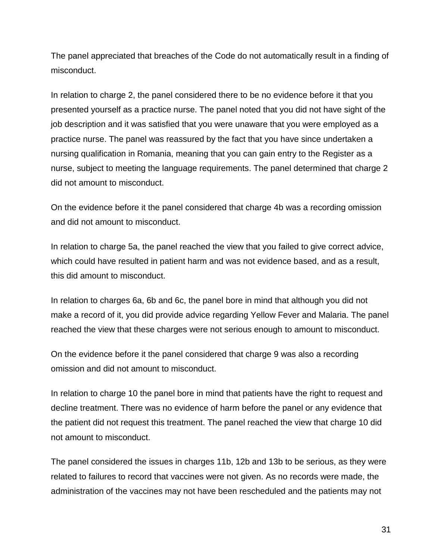The panel appreciated that breaches of the Code do not automatically result in a finding of misconduct.

In relation to charge 2, the panel considered there to be no evidence before it that you presented yourself as a practice nurse. The panel noted that you did not have sight of the job description and it was satisfied that you were unaware that you were employed as a practice nurse. The panel was reassured by the fact that you have since undertaken a nursing qualification in Romania, meaning that you can gain entry to the Register as a nurse, subject to meeting the language requirements. The panel determined that charge 2 did not amount to misconduct.

On the evidence before it the panel considered that charge 4b was a recording omission and did not amount to misconduct.

In relation to charge 5a, the panel reached the view that you failed to give correct advice, which could have resulted in patient harm and was not evidence based, and as a result, this did amount to misconduct.

In relation to charges 6a, 6b and 6c, the panel bore in mind that although you did not make a record of it, you did provide advice regarding Yellow Fever and Malaria. The panel reached the view that these charges were not serious enough to amount to misconduct.

On the evidence before it the panel considered that charge 9 was also a recording omission and did not amount to misconduct.

In relation to charge 10 the panel bore in mind that patients have the right to request and decline treatment. There was no evidence of harm before the panel or any evidence that the patient did not request this treatment. The panel reached the view that charge 10 did not amount to misconduct.

The panel considered the issues in charges 11b, 12b and 13b to be serious, as they were related to failures to record that vaccines were not given. As no records were made, the administration of the vaccines may not have been rescheduled and the patients may not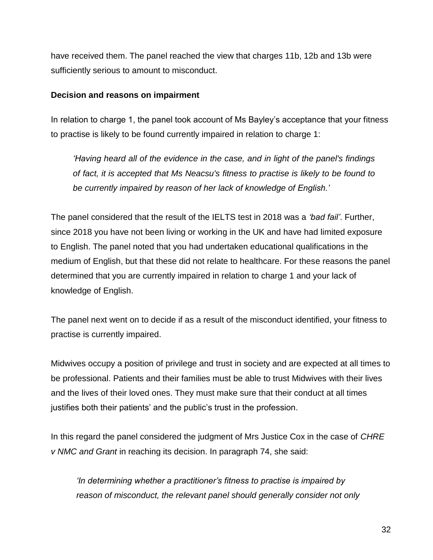have received them. The panel reached the view that charges 11b, 12b and 13b were sufficiently serious to amount to misconduct.

#### **Decision and reasons on impairment**

In relation to charge 1, the panel took account of Ms Bayley's acceptance that your fitness to practise is likely to be found currently impaired in relation to charge 1:

*'Having heard all of the evidence in the case, and in light of the panel's findings of fact, it is accepted that Ms Neacsu's fitness to practise is likely to be found to be currently impaired by reason of her lack of knowledge of English.'*

The panel considered that the result of the IELTS test in 2018 was a *'bad fail'*. Further, since 2018 you have not been living or working in the UK and have had limited exposure to English. The panel noted that you had undertaken educational qualifications in the medium of English, but that these did not relate to healthcare. For these reasons the panel determined that you are currently impaired in relation to charge 1 and your lack of knowledge of English.

The panel next went on to decide if as a result of the misconduct identified, your fitness to practise is currently impaired.

Midwives occupy a position of privilege and trust in society and are expected at all times to be professional. Patients and their families must be able to trust Midwives with their lives and the lives of their loved ones. They must make sure that their conduct at all times justifies both their patients' and the public's trust in the profession.

In this regard the panel considered the judgment of Mrs Justice Cox in the case of *CHRE v NMC and Grant* in reaching its decision. In paragraph 74, she said:

*'In determining whether a practitioner's fitness to practise is impaired by reason of misconduct, the relevant panel should generally consider not only*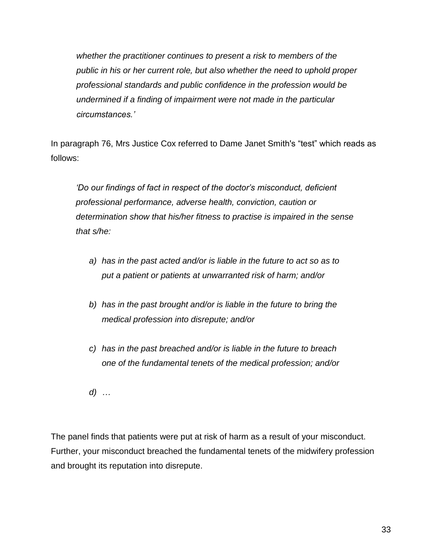*whether the practitioner continues to present a risk to members of the public in his or her current role, but also whether the need to uphold proper professional standards and public confidence in the profession would be undermined if a finding of impairment were not made in the particular circumstances.'*

In paragraph 76, Mrs Justice Cox referred to Dame Janet Smith's "test" which reads as follows:

*'Do our findings of fact in respect of the doctor's misconduct, deficient professional performance, adverse health, conviction, caution or determination show that his/her fitness to practise is impaired in the sense that s/he:*

- *a) has in the past acted and/or is liable in the future to act so as to put a patient or patients at unwarranted risk of harm; and/or*
- *b) has in the past brought and/or is liable in the future to bring the medical profession into disrepute; and/or*
- *c) has in the past breached and/or is liable in the future to breach one of the fundamental tenets of the medical profession; and/or*

*d) …*

The panel finds that patients were put at risk of harm as a result of your misconduct. Further, your misconduct breached the fundamental tenets of the midwifery profession and brought its reputation into disrepute.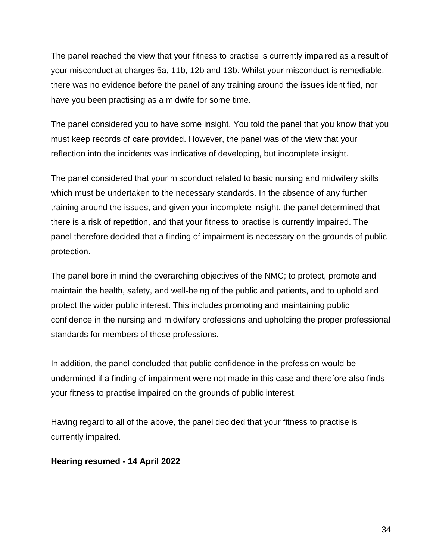The panel reached the view that your fitness to practise is currently impaired as a result of your misconduct at charges 5a, 11b, 12b and 13b. Whilst your misconduct is remediable, there was no evidence before the panel of any training around the issues identified, nor have you been practising as a midwife for some time.

The panel considered you to have some insight. You told the panel that you know that you must keep records of care provided. However, the panel was of the view that your reflection into the incidents was indicative of developing, but incomplete insight.

The panel considered that your misconduct related to basic nursing and midwifery skills which must be undertaken to the necessary standards. In the absence of any further training around the issues, and given your incomplete insight, the panel determined that there is a risk of repetition, and that your fitness to practise is currently impaired. The panel therefore decided that a finding of impairment is necessary on the grounds of public protection.

The panel bore in mind the overarching objectives of the NMC; to protect, promote and maintain the health, safety, and well-being of the public and patients, and to uphold and protect the wider public interest. This includes promoting and maintaining public confidence in the nursing and midwifery professions and upholding the proper professional standards for members of those professions.

In addition, the panel concluded that public confidence in the profession would be undermined if a finding of impairment were not made in this case and therefore also finds your fitness to practise impaired on the grounds of public interest.

Having regard to all of the above, the panel decided that your fitness to practise is currently impaired.

### **Hearing resumed - 14 April 2022**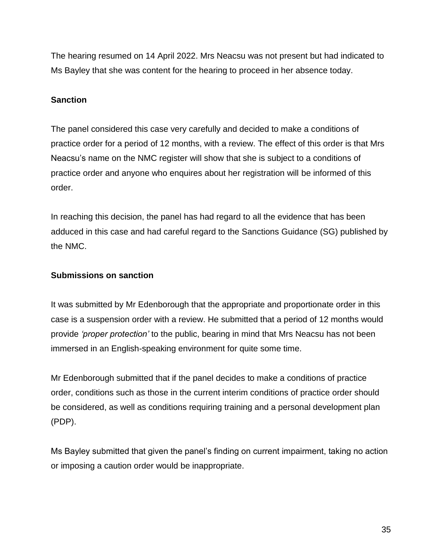The hearing resumed on 14 April 2022. Mrs Neacsu was not present but had indicated to Ms Bayley that she was content for the hearing to proceed in her absence today.

### **Sanction**

The panel considered this case very carefully and decided to make a conditions of practice order for a period of 12 months, with a review. The effect of this order is that Mrs Neacsu's name on the NMC register will show that she is subject to a conditions of practice order and anyone who enquires about her registration will be informed of this order.

In reaching this decision, the panel has had regard to all the evidence that has been adduced in this case and had careful regard to the Sanctions Guidance (SG) published by the NMC.

### **Submissions on sanction**

It was submitted by Mr Edenborough that the appropriate and proportionate order in this case is a suspension order with a review. He submitted that a period of 12 months would provide *'proper protection'* to the public, bearing in mind that Mrs Neacsu has not been immersed in an English-speaking environment for quite some time.

Mr Edenborough submitted that if the panel decides to make a conditions of practice order, conditions such as those in the current interim conditions of practice order should be considered, as well as conditions requiring training and a personal development plan (PDP).

Ms Bayley submitted that given the panel's finding on current impairment, taking no action or imposing a caution order would be inappropriate.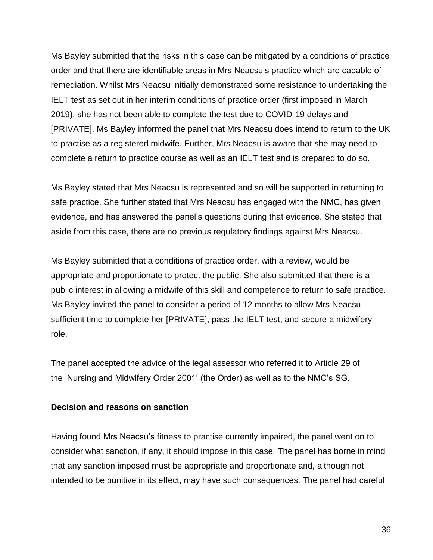Ms Bayley submitted that the risks in this case can be mitigated by a conditions of practice order and that there are identifiable areas in Mrs Neacsu's practice which are capable of remediation. Whilst Mrs Neacsu initially demonstrated some resistance to undertaking the IELT test as set out in her interim conditions of practice order (first imposed in March 2019), she has not been able to complete the test due to COVID-19 delays and [PRIVATE]. Ms Bayley informed the panel that Mrs Neacsu does intend to return to the UK to practise as a registered midwife. Further, Mrs Neacsu is aware that she may need to complete a return to practice course as well as an IELT test and is prepared to do so.

Ms Bayley stated that Mrs Neacsu is represented and so will be supported in returning to safe practice. She further stated that Mrs Neacsu has engaged with the NMC, has given evidence, and has answered the panel's questions during that evidence. She stated that aside from this case, there are no previous regulatory findings against Mrs Neacsu.

Ms Bayley submitted that a conditions of practice order, with a review, would be appropriate and proportionate to protect the public. She also submitted that there is a public interest in allowing a midwife of this skill and competence to return to safe practice. Ms Bayley invited the panel to consider a period of 12 months to allow Mrs Neacsu sufficient time to complete her [PRIVATE], pass the IELT test, and secure a midwifery role.

The panel accepted the advice of the legal assessor who referred it to Article 29 of the 'Nursing and Midwifery Order 2001' (the Order) as well as to the NMC's SG.

#### **Decision and reasons on sanction**

Having found Mrs Neacsu's fitness to practise currently impaired, the panel went on to consider what sanction, if any, it should impose in this case. The panel has borne in mind that any sanction imposed must be appropriate and proportionate and, although not intended to be punitive in its effect, may have such consequences. The panel had careful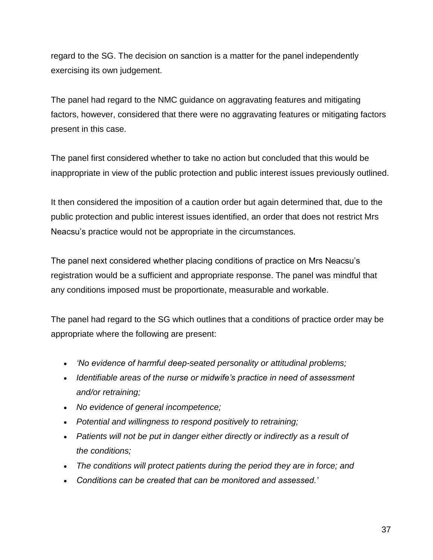regard to the SG. The decision on sanction is a matter for the panel independently exercising its own judgement.

The panel had regard to the NMC guidance on aggravating features and mitigating factors, however, considered that there were no aggravating features or mitigating factors present in this case.

The panel first considered whether to take no action but concluded that this would be inappropriate in view of the public protection and public interest issues previously outlined.

It then considered the imposition of a caution order but again determined that, due to the public protection and public interest issues identified, an order that does not restrict Mrs Neacsu's practice would not be appropriate in the circumstances.

The panel next considered whether placing conditions of practice on Mrs Neacsu's registration would be a sufficient and appropriate response. The panel was mindful that any conditions imposed must be proportionate, measurable and workable.

The panel had regard to the SG which outlines that a conditions of practice order may be appropriate where the following are present:

- *'No evidence of harmful deep-seated personality or attitudinal problems;*
- *Identifiable areas of the nurse or midwife's practice in need of assessment and/or retraining;*
- *No evidence of general incompetence;*
- *Potential and willingness to respond positively to retraining;*
- *Patients will not be put in danger either directly or indirectly as a result of the conditions;*
- *The conditions will protect patients during the period they are in force; and*
- *Conditions can be created that can be monitored and assessed.'*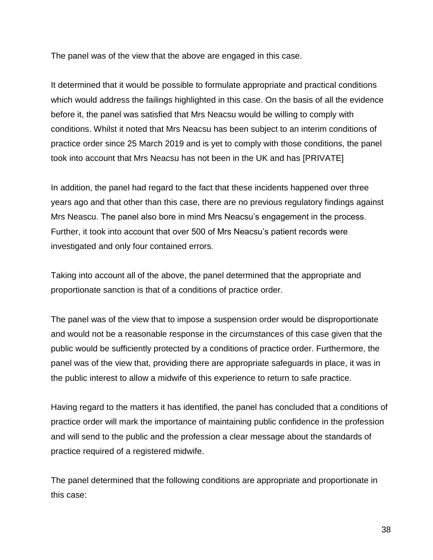The panel was of the view that the above are engaged in this case.

It determined that it would be possible to formulate appropriate and practical conditions which would address the failings highlighted in this case. On the basis of all the evidence before it, the panel was satisfied that Mrs Neacsu would be willing to comply with conditions. Whilst it noted that Mrs Neacsu has been subject to an interim conditions of practice order since 25 March 2019 and is yet to comply with those conditions, the panel took into account that Mrs Neacsu has not been in the UK and has [PRIVATE]

In addition, the panel had regard to the fact that these incidents happened over three years ago and that other than this case, there are no previous regulatory findings against Mrs Neascu. The panel also bore in mind Mrs Neacsu's engagement in the process. Further, it took into account that over 500 of Mrs Neacsu's patient records were investigated and only four contained errors.

Taking into account all of the above, the panel determined that the appropriate and proportionate sanction is that of a conditions of practice order.

The panel was of the view that to impose a suspension order would be disproportionate and would not be a reasonable response in the circumstances of this case given that the public would be sufficiently protected by a conditions of practice order. Furthermore, the panel was of the view that, providing there are appropriate safeguards in place, it was in the public interest to allow a midwife of this experience to return to safe practice.

Having regard to the matters it has identified, the panel has concluded that a conditions of practice order will mark the importance of maintaining public confidence in the profession and will send to the public and the profession a clear message about the standards of practice required of a registered midwife.

The panel determined that the following conditions are appropriate and proportionate in this case: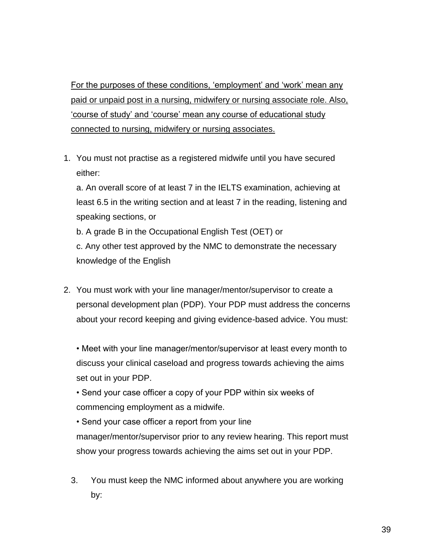For the purposes of these conditions, 'employment' and 'work' mean any paid or unpaid post in a nursing, midwifery or nursing associate role. Also, 'course of study' and 'course' mean any course of educational study connected to nursing, midwifery or nursing associates.

1. You must not practise as a registered midwife until you have secured either:

a. An overall score of at least 7 in the IELTS examination, achieving at least 6.5 in the writing section and at least 7 in the reading, listening and speaking sections, or

b. A grade B in the Occupational English Test (OET) or

c. Any other test approved by the NMC to demonstrate the necessary knowledge of the English

2. You must work with your line manager/mentor/supervisor to create a personal development plan (PDP). Your PDP must address the concerns about your record keeping and giving evidence-based advice. You must:

• Meet with your line manager/mentor/supervisor at least every month to discuss your clinical caseload and progress towards achieving the aims set out in your PDP.

• Send your case officer a copy of your PDP within six weeks of commencing employment as a midwife.

• Send your case officer a report from your line manager/mentor/supervisor prior to any review hearing. This report must show your progress towards achieving the aims set out in your PDP.

3. You must keep the NMC informed about anywhere you are working by: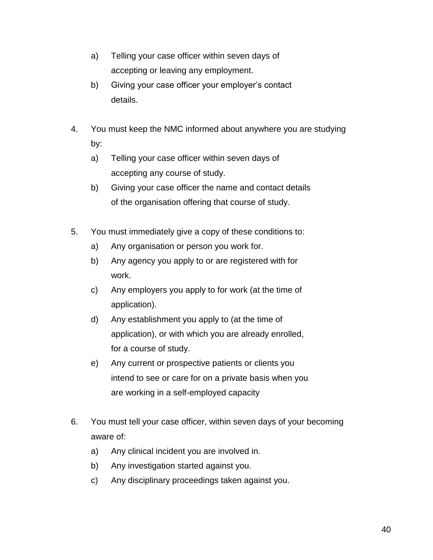- a) Telling your case officer within seven days of accepting or leaving any employment.
- b) Giving your case officer your employer's contact details.
- 4. You must keep the NMC informed about anywhere you are studying by:
	- a) Telling your case officer within seven days of accepting any course of study.
	- b) Giving your case officer the name and contact details of the organisation offering that course of study.
- 5. You must immediately give a copy of these conditions to:
	- a) Any organisation or person you work for.
	- b) Any agency you apply to or are registered with for work.
	- c) Any employers you apply to for work (at the time of application).
	- d) Any establishment you apply to (at the time of application), or with which you are already enrolled, for a course of study.
	- e) Any current or prospective patients or clients you intend to see or care for on a private basis when you are working in a self-employed capacity
- 6. You must tell your case officer, within seven days of your becoming aware of:
	- a) Any clinical incident you are involved in.
	- b) Any investigation started against you.
	- c) Any disciplinary proceedings taken against you.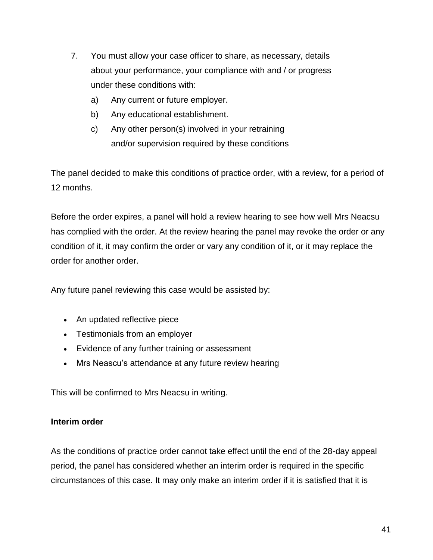- 7. You must allow your case officer to share, as necessary, details about your performance, your compliance with and / or progress under these conditions with:
	- a) Any current or future employer.
	- b) Any educational establishment.
	- c) Any other person(s) involved in your retraining and/or supervision required by these conditions

The panel decided to make this conditions of practice order, with a review, for a period of 12 months.

Before the order expires, a panel will hold a review hearing to see how well Mrs Neacsu has complied with the order. At the review hearing the panel may revoke the order or any condition of it, it may confirm the order or vary any condition of it, or it may replace the order for another order.

Any future panel reviewing this case would be assisted by:

- An updated reflective piece
- Testimonials from an employer
- Evidence of any further training or assessment
- Mrs Neascu's attendance at any future review hearing

This will be confirmed to Mrs Neacsu in writing.

#### **Interim order**

As the conditions of practice order cannot take effect until the end of the 28-day appeal period, the panel has considered whether an interim order is required in the specific circumstances of this case. It may only make an interim order if it is satisfied that it is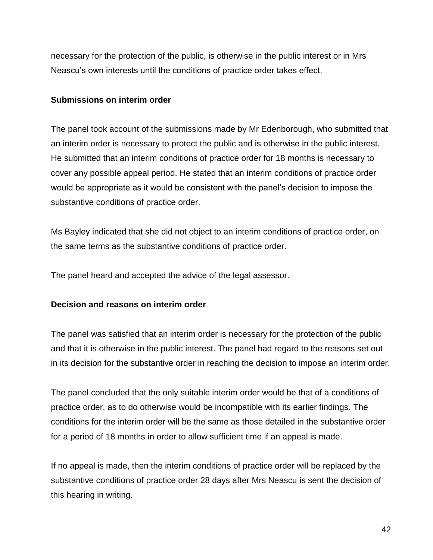necessary for the protection of the public, is otherwise in the public interest or in Mrs Neascu's own interests until the conditions of practice order takes effect.

#### **Submissions on interim order**

The panel took account of the submissions made by Mr Edenborough, who submitted that an interim order is necessary to protect the public and is otherwise in the public interest. He submitted that an interim conditions of practice order for 18 months is necessary to cover any possible appeal period. He stated that an interim conditions of practice order would be appropriate as it would be consistent with the panel's decision to impose the substantive conditions of practice order.

Ms Bayley indicated that she did not object to an interim conditions of practice order, on the same terms as the substantive conditions of practice order.

The panel heard and accepted the advice of the legal assessor.

### **Decision and reasons on interim order**

The panel was satisfied that an interim order is necessary for the protection of the public and that it is otherwise in the public interest. The panel had regard to the reasons set out in its decision for the substantive order in reaching the decision to impose an interim order.

The panel concluded that the only suitable interim order would be that of a conditions of practice order, as to do otherwise would be incompatible with its earlier findings. The conditions for the interim order will be the same as those detailed in the substantive order for a period of 18 months in order to allow sufficient time if an appeal is made.

If no appeal is made, then the interim conditions of practice order will be replaced by the substantive conditions of practice order 28 days after Mrs Neascu is sent the decision of this hearing in writing.